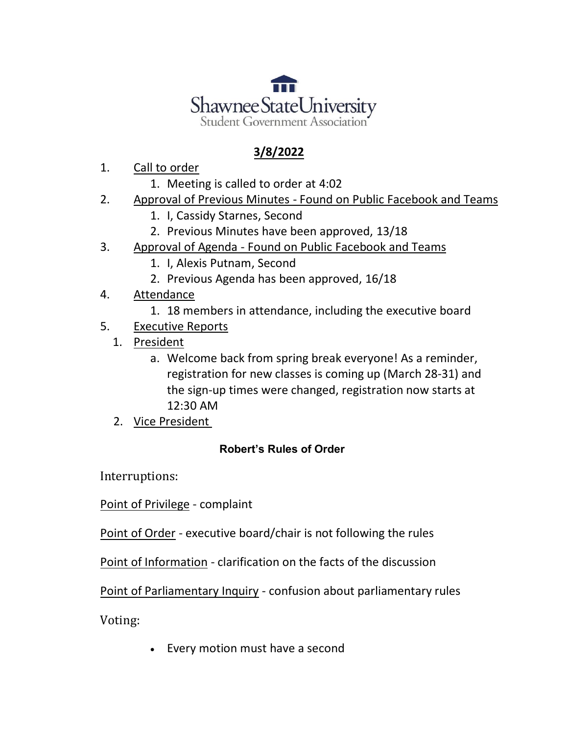

## **3/8/2022**

- 1. Call to order
	- 1. Meeting is called to order at 4:02
- 2. Approval of Previous Minutes Found on Public Facebook and Teams
	- 1. I, Cassidy Starnes, Second
	- 2. Previous Minutes have been approved, 13/18
- 3. Approval of Agenda Found on Public Facebook and Teams
	- 1. I, Alexis Putnam, Second
	- 2. Previous Agenda has been approved, 16/18
- 4. Attendance
	- 1. 18 members in attendance, including the executive board
- 5. Executive Reports
	- 1. President
		- a. Welcome back from spring break everyone! As a reminder, registration for new classes is coming up (March 28-31) and the sign-up times were changed, registration now starts at 12:30 AM
	- 2. Vice President

## **Robert's Rules of Order**

Interruptions:

Point of Privilege - complaint

Point of Order - executive board/chair is not following the rules

Point of Information - clarification on the facts of the discussion

Point of Parliamentary Inquiry - confusion about parliamentary rules

Voting:

• Every motion must have a second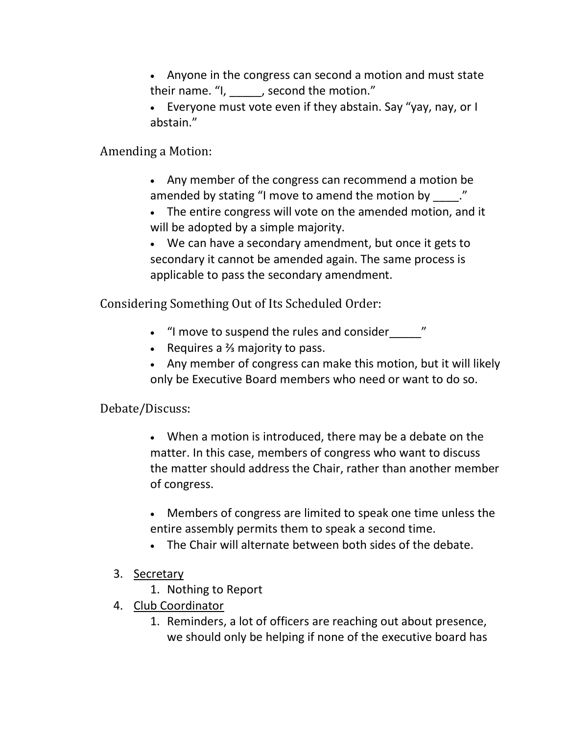- Anyone in the congress can second a motion and must state their name. "I, \_\_\_\_\_, second the motion."
- Everyone must vote even if they abstain. Say "yay, nay, or I abstain."

Amending a Motion:

- Any member of the congress can recommend a motion be amended by stating "I move to amend the motion by  $\blacksquare$ "
- The entire congress will vote on the amended motion, and it will be adopted by a simple majority.
- We can have a secondary amendment, but once it gets to secondary it cannot be amended again. The same process is applicable to pass the secondary amendment.

Considering Something Out of Its Scheduled Order:

- "I move to suspend the rules and consider  $\blacksquare$
- Requires a ⅔ majority to pass.
- Any member of congress can make this motion, but it will likely only be Executive Board members who need or want to do so.

## Debate/Discuss:

- When a motion is introduced, there may be a debate on the matter. In this case, members of congress who want to discuss the matter should address the Chair, rather than another member of congress.
- Members of congress are limited to speak one time unless the entire assembly permits them to speak a second time.
- The Chair will alternate between both sides of the debate.
- 3. Secretary
	- 1. Nothing to Report
- 4. Club Coordinator
	- 1. Reminders, a lot of officers are reaching out about presence, we should only be helping if none of the executive board has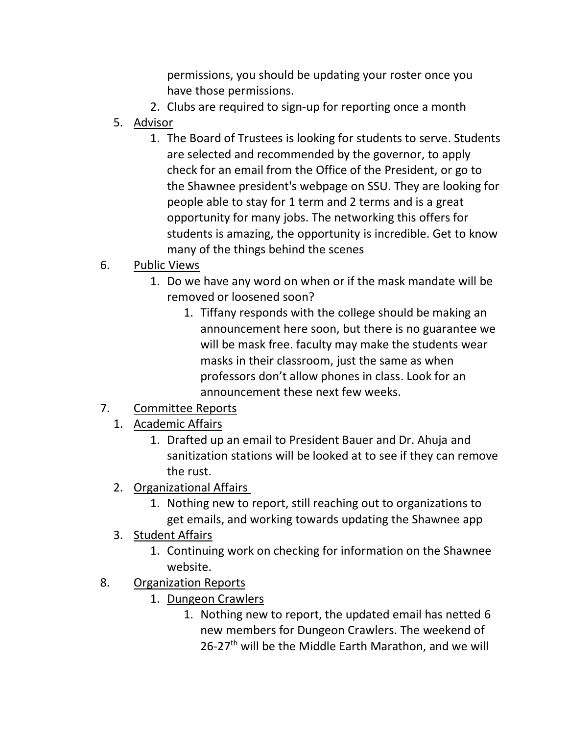permissions, you should be updating your roster once you have those permissions.

- 2. Clubs are required to sign-up for reporting once a month
- 5. Advisor
	- 1. The Board of Trustees is looking for students to serve. Students are selected and recommended by the governor, to apply check for an email from the Office of the President, or go to the Shawnee president's webpage on SSU. They are looking for people able to stay for 1 term and 2 terms and is a great opportunity for many jobs. The networking this offers for students is amazing, the opportunity is incredible. Get to know many of the things behind the scenes
- 6. Public Views
	- 1. Do we have any word on when or if the mask mandate will be removed or loosened soon?
		- 1. Tiffany responds with the college should be making an announcement here soon, but there is no guarantee we will be mask free. faculty may make the students wear masks in their classroom, just the same as when professors don't allow phones in class. Look for an announcement these next few weeks.
- 7. Committee Reports
	- 1. Academic Affairs
		- 1. Drafted up an email to President Bauer and Dr. Ahuja and sanitization stations will be looked at to see if they can remove the rust.
	- 2. Organizational Affairs
		- 1. Nothing new to report, still reaching out to organizations to get emails, and working towards updating the Shawnee app
	- 3. Student Affairs
		- 1. Continuing work on checking for information on the Shawnee website.
- 8. Organization Reports
	- 1. Dungeon Crawlers
		- 1. Nothing new to report, the updated email has netted 6 new members for Dungeon Crawlers. The weekend of  $26-27$ <sup>th</sup> will be the Middle Earth Marathon, and we will